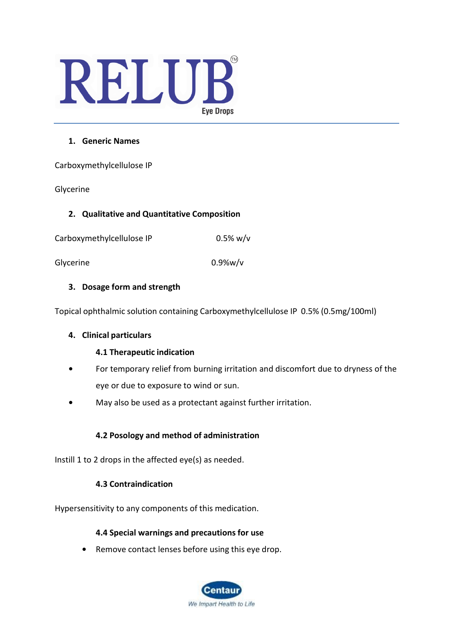# RELUB **Eye Drops**

### **1. Generic Names**

Carboxymethylcellulose IP

Glycerine

#### **2. Qualitative and Quantitative Composition**

Carboxymethylcellulose IP 0.5% w/v

Glycerine 0.9%w/v

# **3. Dosage form and strength**

Topical ophthalmic solution containing Carboxymethylcellulose IP 0.5% (0.5mg/100ml)

# **4. Clinical particulars**

# **4.1 Therapeutic indication**

- **•** For temporary relief from burning irritation and discomfort due to dryness of the eye or due to exposure to wind or sun.
- **•** May also be used as a protectant against further irritation.

# **4.2 Posology and method of administration**

Instill 1 to 2 drops in the affected eye(s) as needed.

# **4.3 Contraindication**

Hypersensitivity to any components of this medication.

# **4.4 Special warnings and precautions for use**

**•** Remove contact lenses before using this eye drop.

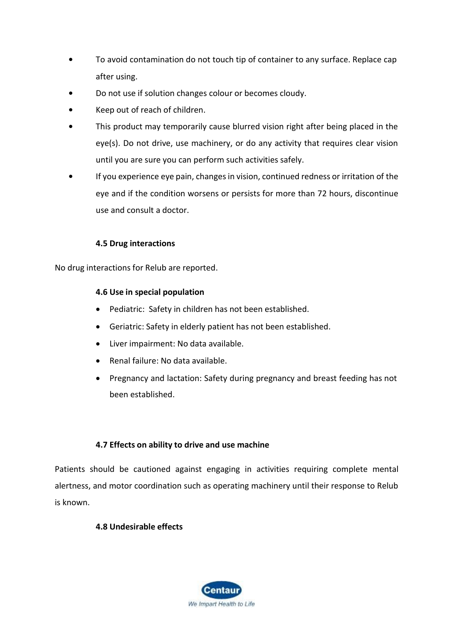- **•** To avoid contamination do not touch tip of container to any surface. Replace cap after using.
- **•** Do not use if solution changes colour or becomes cloudy.
- **•** Keep out of reach of children.
- **•** This product may temporarily cause blurred vision right after being placed in the eye(s). Do not drive, use machinery, or do any activity that requires clear vision until you are sure you can perform such activities safely.
- **•** If you experience eye pain, changes in vision, continued redness or irritation of the eye and if the condition worsens or persists for more than 72 hours, discontinue use and consult a doctor.

#### **4.5 Drug interactions**

No drug interactions for Relub are reported.

#### **4.6 Use in special population**

- Pediatric: Safety in children has not been established.
- Geriatric: Safety in elderly patient has not been established.
- Liver impairment: No data available.
- Renal failure: No data available.
- Pregnancy and lactation: Safety during pregnancy and breast feeding has not been established.

# **4.7 Effects on ability to drive and use machine**

Patients should be cautioned against engaging in activities requiring complete mental alertness, and motor coordination such as operating machinery until their response to Relub is known.

#### **4.8 Undesirable effects**

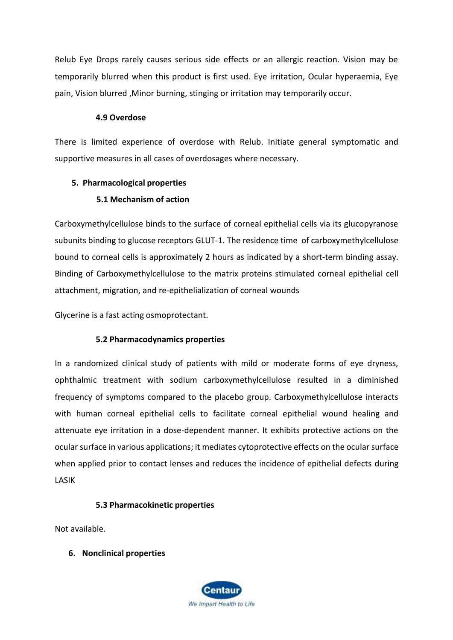Relub Eye Drops rarely causes serious side effects or an allergic reaction. Vision may be temporarily blurred when this product is first used. Eye irritation, Ocular hyperaemia, Eye pain, Vision blurred ,Minor burning, stinging or irritation may temporarily occur.

#### **4.9 Overdose**

There is limited experience of overdose with Relub. Initiate general symptomatic and supportive measures in all cases of overdosages where necessary.

# **5. Pharmacological properties**

# **5.1 Mechanism of action**

Carboxymethylcellulose binds to the surface of corneal epithelial cells via its glucopyranose subunits binding to glucose receptors GLUT-1. The residence time of carboxymethylcellulose bound to corneal cells is approximately 2 hours as indicated by a short-term binding assay. Binding of Carboxymethylcellulose to the matrix proteins stimulated corneal epithelial cell attachment, migration, and re-epithelialization of corneal wounds

Glycerine is a fast acting osmoprotectant.

# **5.2 Pharmacodynamics properties**

In a randomized clinical study of patients with mild or moderate forms of eye dryness, ophthalmic treatment with sodium carboxymethylcellulose resulted in a diminished frequency of symptoms compared to the placebo group. Carboxymethylcellulose interacts with human corneal epithelial cells to facilitate corneal epithelial wound healing and attenuate eye irritation in a dose-dependent manner. It exhibits protective actions on the ocular surface in various applications; it mediates cytoprotective effects on the ocular surface when applied prior to contact lenses and reduces the incidence of epithelial defects during LASIK

# **5.3 Pharmacokinetic properties**

Not available.

# **6. Nonclinical properties**

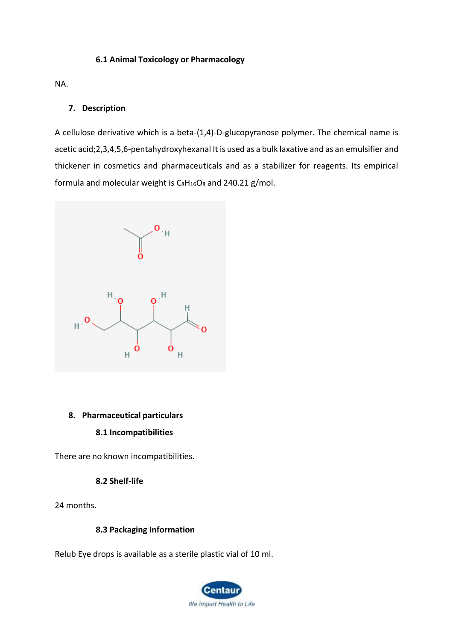#### **6.1 Animal Toxicology or Pharmacology**

NA.

#### **7. Description**

A cellulose derivative which is a beta-(1,4)-D-glucopyranose polymer. The chemical name is acetic acid;2,3,4,5,6-pentahydroxyhexanal It is used as a bulk laxative and as an emulsifier and thickener in cosmetics and pharmaceuticals and as a stabilizer for reagents. Its empirical formula and molecular weight is  $C_8H_{16}O_8$  $C_8H_{16}O_8$  $C_8H_{16}O_8$  and 240.21 g/mol.



#### **8. Pharmaceutical particulars**

#### **8.1 Incompatibilities**

There are no known incompatibilities.

#### **8.2 Shelf-life**

24 months.

### **8.3 Packaging Information**

Relub Eye drops is available as a sterile plastic vial of 10 ml.

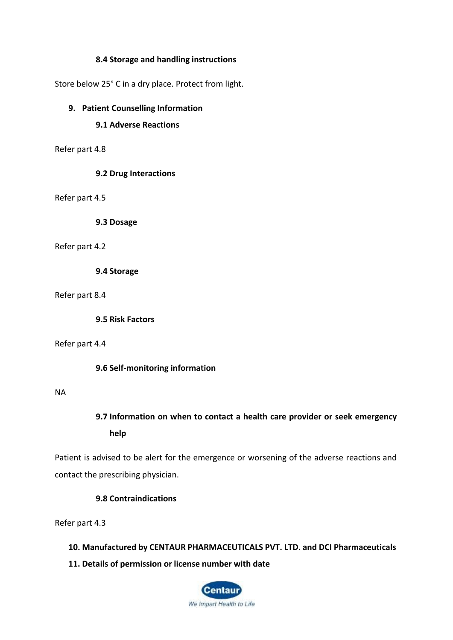#### **8.4 Storage and handling instructions**

Store below 25° C in a dry place. Protect from light.

#### **9. Patient Counselling Information**

### **9.1 Adverse Reactions**

Refer part 4.8

#### **9.2 Drug Interactions**

Refer part 4.5

**9.3 Dosage**

#### Refer part 4.2

**9.4 Storage**

Refer part 8.4

**9.5 Risk Factors**

Refer part 4.4

**9.6 Self-monitoring information**

#### NA

# **9.7 Information on when to contact a health care provider or seek emergency help**

Patient is advised to be alert for the emergence or worsening of the adverse reactions and contact the prescribing physician.

#### **9.8 Contraindications**

Refer part 4.3

- **10. Manufactured by CENTAUR PHARMACEUTICALS PVT. LTD. and DCI Pharmaceuticals**
- **11. Details of permission or license number with date**